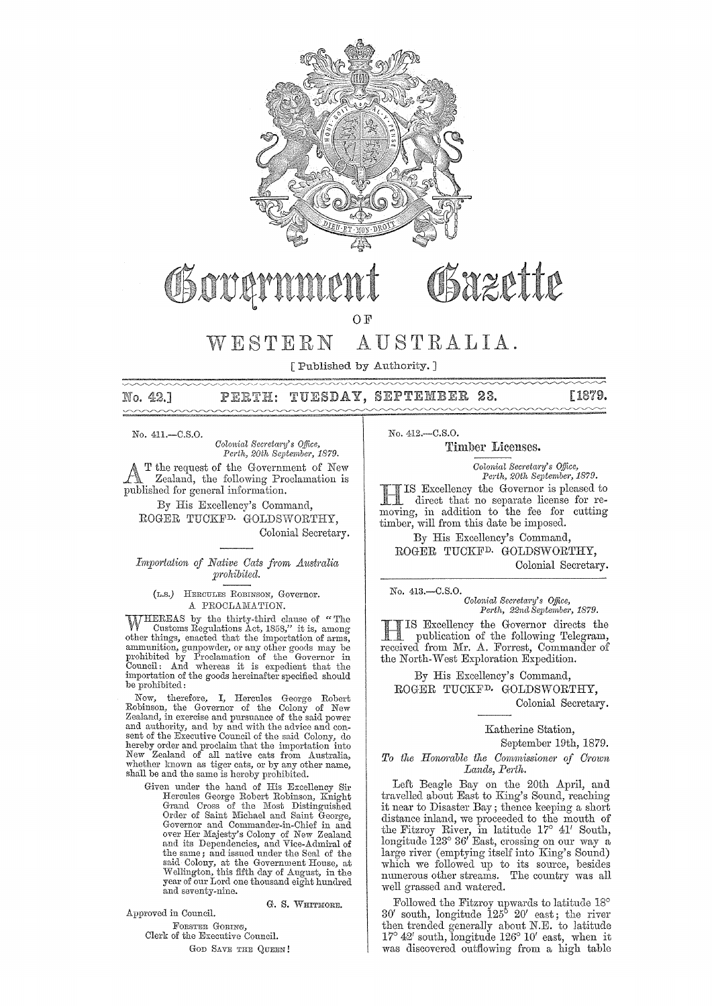

# Osazette Goven

OF

# WESTERN AUSTRALIA.

[Published by Authority. ]

PERTH: TUESDAY, SEPTEMBER 23. [1879. No. 42.1

No. 411, - C.S.O.

*Colonial Secretary's Office,* Perth, 20th September, 1879.

T the request of the Government of New Zealand, the following Proclamation is published for general information.

By His Excellency's Command, ROGER TUCKFD. GOLDSWORTHY, Colonial Secretary.

## *Importation of Native Cats from Australia prohibited.*

(L.S.) HERCULES ROBINsoN, Governor. A PROCLAMATION.

WHEREAS by the thirty-third clause of "The Customs Regulations Act, 1858," it is, among other things, enacted that the importation of arms, ammunition, gunpowder, or any other goods may be prohibited by Proclamation of the be prohibited:

Now, therefore, I, Hercules George Robert Robinson, the Governor of the Colony of New Zealand, in exercise and pursuance of the said power and authority, and by and with the advice and con- sent of the Executive Council of the said Colony, do hereby order and proclaim that the importation into New Zealand of all native cats from Australia, whether known as tiger cats, or by any other name, shaH be and the same is hereby prohibited.

Given under the hand of His Excellency Sir Hercules George Robert Robinson, Knight<br>Grand Cross of the Most Distinguished<br>Order of Saint Michael and Saint George, Governor and Commander-in-Chief in and<br>over Her Majesty's Colony of New Zealand<br>and its Dependencies, and Vice-Admiral of the same; and issued under the Seal of the said Colony, at the Government House, at Wellington, this fifth day of August, in the year of our Lord one thousand eight hundred and seventy-nine.

G. S. WHITMORE.

Approved in Council.

FORSTER GORING, Clerk of the Executive Council. GOD SAVE THE QUEEN! No. 412.-C.S.0.

Timber Licenses.

*Colonial Secretary's Office, Perth, 20th September, 1879. Perth, 20th Septembcr, 1879.*  **HIS Excellency the Governor is pleased to**<br>direct that no separate license for redirect that no separate license for removing, in addition to the fee for cutting

timber, will from this date be imposed. By His Excellency's Command, ROGER TUCKFD. GOLDSWORTHY, Colonial Secretary.

No. 413.-C.S.0.

*Colonial Secretary's Office,* Perth, 22nd September, 1879.

IS Excellency the Governor directs the publication of the following Telegram, received from Mr. A. Forrest, Commander of the North-West Exploration Expedition.

By His Excellency's Command, ROGER TUCKFD. GOLDSWORTHY, Colonial Secretary.

Katherine Station,

September 19th, 1879.

To the Honorable the Commissioner of Crown *Lands, Perth.* 

Left Beagle Bay on the 20th April, and travelled about East to King's Sound, reaching it near to Disaster Bay; thence keeping a short distance inland, we proceeded to the mouth of the Fitzroy River, in latitude 17° 41' South, 10ngituc1e 123° 36' East, crossing on our way a large river (emptying itself into King's Sound) which we followed up to its source, besides numerous other streams. The country was all well grassed and watered.

Followed the Fitzroy upwards to latitude 18° 30' south, longitude 125° 20' east; the river then trended generally about N.E. to latitude  $17^{\circ}$  42' south, longitude  $126^{\circ}$  10' east, when it was discovered outflowing from a high table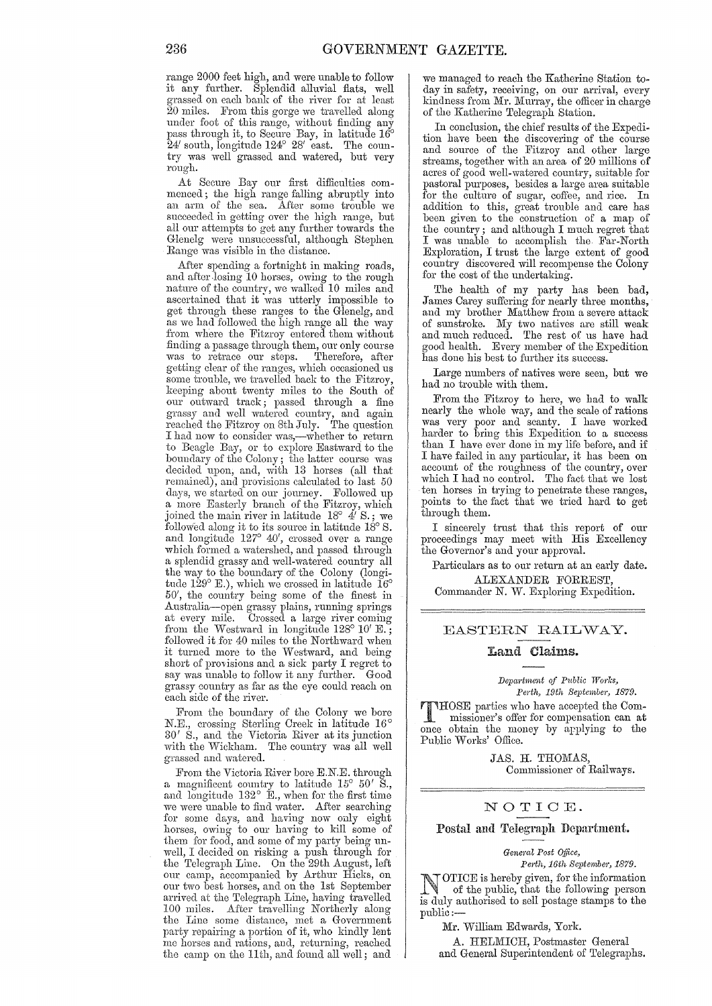range 2000 feet high, and were unable to follow it any further. Splendid alluvial fiats, well grassed on each bank of the river for at least  $20$  miles. From this gorge we travelled along under foot of this range, without finding any pass through it, to Secure Bay, in latitude 16° 24' south, longitude 124° 28' east. The country was well grassed and watered, but very rough.

At Secure Bay our first difficulties commenced; the high range falling abruptly into an arm of the sea. After some trouble we succeeded in getting over the high range, but all our attempts to get any further towards the Glenelg were unsuccessful, although Stephen Range was visible in the distance.

After spending a fortnight in making roads, and after losing 10 horses, owing to the rough nature of the countrv, we walked 10 miles and ascertained that it 'was utterly impossible to get through these ranges to the Glenelg, and as we had followed the high range all the way from where the Fitzroy entered them without finding a passage through them, our only course was to retrace our steps. Therefore, after getting clear of the ranges, which occasioned us some trouble, we travelled back to the Fitzroy, keeping about twonty miles to the South of our outward track; passed through a fine grassy and well watered country, and again reached the Fitzroy on 8th July. The question I had now to consider was,—whether to return to Beagle Bay, or to explore Eastward to the boundary of the Colony; the latter course was decided upon, and, with 13 horses (all that remained), and provisions calculated to last 50 days, we started on our journey. Followed up a more Easterly branch of the Fitzroy, which joined the main river in latitude  $18^{\circ}$  4' S.; we followed along it to its source in latitude  $18^{\circ}$  S. and longitude 127° 40', crossed over a range which formed a watershed, and passed through a splendid grassy and well-watered country all the way to the boundary of the Colony (longitude  $129^{\circ}$  E.), which we crossed in latitude  $16^{\circ}$ 50', the country being some of the finest in Australia-open grassy plains, running springs at every mile. Crossed a large river coming from the Westward in longitude 128° 10' E.; followed it for 40 miles to the Northward when it turned more to the Westward, and being short of provisions and a sick party I regret to say was unable to follow it any further. Good grassy country as far as the eye could reach on each side of the river.

From the boundary of the Colony we bore N.B., crossing Sterling Creek in latitude 16°  $30'$  S., and the Victoria River at its junction with the Wickham. The country was all well grassed and watered.

From the Victoria River bore E.N.E. through a magnificent country to latitude  $15^{\circ}$   $50'$  S., and longitude  $132^{\circ}$  E., when for the first time we were unable to find water. After searching for some days, and having now only eight horses, owing to our having to kill some of them for food, and some of my party being unwell, I decided on risking a push through for the Telegraph Line. On the 29th August, left our camp, accompanied by Arthur Hicks, on our two best horses, and on the 1st September arrived at the Telegraph Line, having travelled 100 miles. After travelling Northerly along the Line some distance, met a Government party repairing a portion of it, who kindly lent me horses and rations, and, returning, reached the camp on the 11th, and found all well; and we managed to reach the Katherine Station today in safety, receiving, on our arrival, every kindness from Mr. Murray, the officer in charge of the Katherine Telegraph Station.

In conclusion, the chief results of the Expedition have been the discovering of the course and source of the Fitzroy and other large streams, together with an area of 20 millions of acres of good well-watered country, suitable for pastoral purposes, besides a large area suitable for the culture of sugar, coffee, and rice. In addition to this, great trouble and care has been given to the construction of a map of the country; and although I much regret that I was unable to accomplish the Far-North Exploration, I trust the large oxtent of good country discovered will recompense the Colony for the cost of the undertaking.

The health of my party has been bad, James Carey suffering for nearly three months, and my brother Matthew from a severe attack of sunstroke. My two natives are still weak and much reduced. The rest of us have had good health. Every member of the Expedition has done his best to further its success.

Large numbers of natives were seen, but we had no trouble with them.

From the Fitzroy to here, we had to walk nearly the whole way, and the scale of rations was very poor and scanty. I have worked harder to bring this Expedition to a success than I have ever done in my life before, and if I have failed in any particular, it has been on account of the roughness of the country, over which I had no control. The fact that we lost ten horses in trying to penetrate these ranges, points to the fact that we tried hard to get through them.

I sincerely trust that this report of our proceedings may meet with His Excellency the Governor's and your approval.

Particulars as to our return at an early date. ALEXANDEn FORREST,

Commander N. W. Exploring Expedition.

## EASTERN RAILWAY.

#### Land Claims.

*Depa'l·tmumt of P1tblic Works, Perth, 19th September, 1879.* 

THOSE parties who have accepted the Commissioner's offer for compensation can at once obtain the money by applying to the Public Works' Office.

> JAS. H. THOMAS, Commissioner of Railways.

#### NOTIOE.

### Postal and Telegrapll Department.

General Post Office,

 $Perth, 16th$  September, 1879.

**NOTICE** is hereby given, for the information<br>of the public, that the following person<br>is duly outhoused to sell perform to the the is duly authorised to sell postage stamps to the public:-

Mr. William Edwards, York.

A. HELMICH, Postmaster General and General Superintendent of Telegraphs.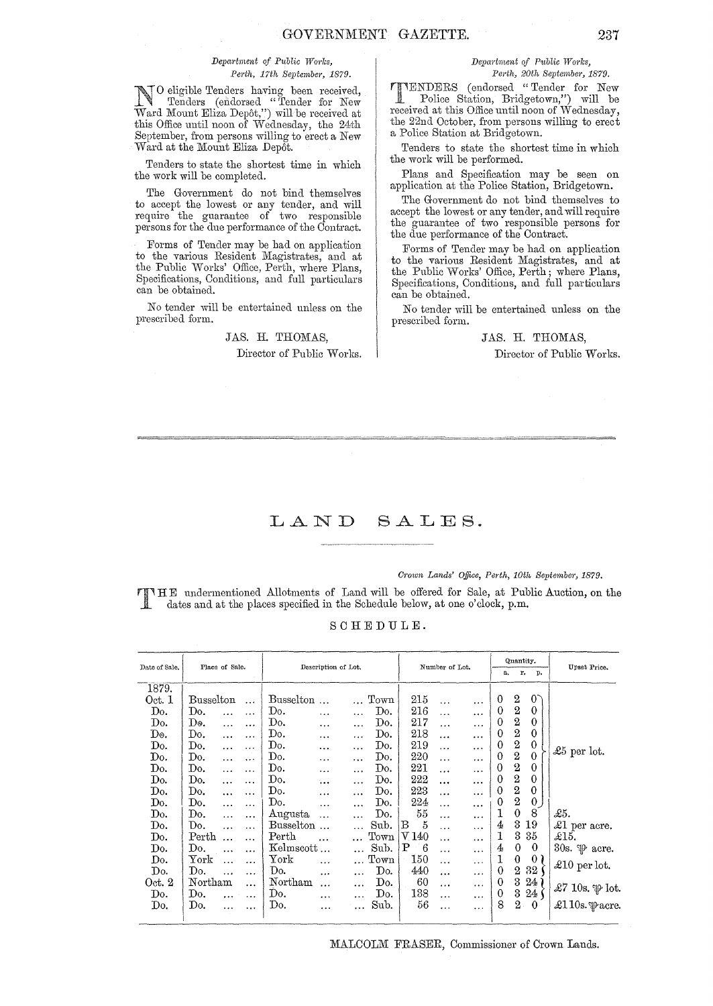#### $Department of Public Works,$ Perth, 17th September, 1879.

No eligible Tenders having been received,<br>
Tenders (endorsed "Tender for New<br>
Word Mount Elize Donat ") will be received at Ward Mount Eliza Depôt,") will be received at this Office until noon of Wednesday, the 24th September, from persons willing to erect a New Ward at the Mount Eliza Depot.

Tenders to state the shortest time in which the work will be completed.

The Government do not bind themselves to accept the lowest or any tender, and will require the guarantee of two responsible persons for the due performance of the Contract.

Forms of Tender may be had on application to the various Resident Magistrates, and at the Publie Works' Offiee, Perth, where Plans, Specifieations, Conditions, and full particulars can be obtained.

No tender will be entertained unless on the prescribed form.

# JAS. H. THOMAS, Director of Public Works.

### *Department of Public W01'ks, Perth, 20th September, 1879.*

**TIMERS** (endorsed "Tender for New Police Station, Bridgetown,") will be received at this Office until noon of Wednesday, the 22nd October, from persons willing to erect a Police Station at Bridgetown.

Tenders to state the shortest time in which the work will be performed.

Plans and Specification may be seen on application at the Police Station, Bridgetown.

The Government do not bind themselves to accept the lowest or any tender, and will require the guarantee of two responsible persons for the due performance of the Contract.

Forms of Tender may be had on application to the various Resident Magistrates, and at the Public Works' Office, Perth; where Plans, Specifications, Conditions, and full particulars can be obtained.

No tender will be entertained unless on the prescribed form.

# JAS. H. THOMAS,

Director of Public Works.

#### LAND SALES.

#### *Crown Lands' Office, Perth, 10th September, 1879.*

T HE undermentioned Allotments of Land will be offered for Sale, at Public Auction, on the dates and at the places specified in the Schedule below, at one o'clock, p.m.

### SCHEDULE.

| Date of Sale. | Place of Sale. |           |           | Description of Lot.    |           | Number of Lot. |                       |                     | Quantity.<br>r.<br>a.<br>p. |           |                | Upset Price.     |                |                            |
|---------------|----------------|-----------|-----------|------------------------|-----------|----------------|-----------------------|---------------------|-----------------------------|-----------|----------------|------------------|----------------|----------------------------|
| 1879.         |                |           |           |                        |           |                |                       |                     |                             |           |                |                  |                |                            |
| Oct. 1        | Busselton      |           | $\ddotsc$ | <b>Busselton</b>       | $\sim$    |                | Town                  | 215                 | $\ddotsc$                   | .         | $\overline{0}$ | $\overline{2}$   | $0^{\circ}$    |                            |
| Do.           | Do.            | $\ddotsc$ | .         | Do.                    |           | $\ddotsc$      | Do.                   | 216                 | .                           | $\ddotsc$ | 0              | $\boldsymbol{2}$ | 0              |                            |
| Do.           | D٥.            | $\ldots$  |           | Do.                    | $\ddotsc$ | $\ddotsc$      | Do.                   | 217                 | $\ddotsc$                   | $\cdots$  | $\Omega$       | $\,2\,$          | $\theta$       |                            |
| D٥.           | Do.            | $\cdots$  |           | Do.                    |           | .              | Do.                   | 218                 | .                           | .         | 0              |                  | 0              |                            |
| Do.           | Do.            | .         | $\cdots$  | Do.                    |           | $\ddotsc$      | Do.                   | 219                 | $\ddotsc$                   | $\ddotsc$ | $\overline{0}$ | $\frac{2}{2}$    | 0              |                            |
| Do.           | Do.            | $\ddotsc$ |           | Do.                    |           |                | Do.                   | 220                 | .                           | $\ddotsc$ | 0              | $\boldsymbol{2}$ | $\bf{0}$       | £5 per lot.                |
| Do.           | Do.            | $\ddotsc$ | .         | Do.                    |           | $\cdots$       | Do.                   | 221                 | $\cdots$                    |           | 0              | $\overline{2}$   | $\overline{0}$ |                            |
| Do.           | Do.            | $\cdots$  | .         | Do.                    |           |                | Do.                   | 222                 |                             |           | 0              | $\overline{2}$   | 0              |                            |
| Do.           | Do.            | $\ldots$  | .         | Do.                    | .         | $\cdots$       | Do.                   | 223                 | .                           | $\ddotsc$ | 0              | $\boldsymbol{2}$ | $\mathbf{0}$   |                            |
| Do.           | Do.            |           | .         | Do.                    | .         | $\ddotsc$      | Do.                   | 224                 | $\cdots$                    | $\ddotsc$ | 0              | $\mathbf 2$      | $\overline{0}$ |                            |
| Do.           | Do.            | $\ddotsc$ |           | Augusta                | $\ddots$  |                | Do.                   | 55                  | .                           | $\ddotsc$ | 1              | 0                | 8              | £5.                        |
| Do.           | Do.            | $\ddotsc$ | $\cdots$  | Busselton              |           |                | Sub.                  | $\mathfrak{z}$<br>в | $\ddotsc$                   | .         | 4              | 3                | 19             | £1 per acre.               |
| Do.           | $\rm Perth$    |           | $\ddotsc$ | $\operatorname{Perth}$ |           |                | $_{\mathrm{Town}}$    | $\rm{V}$ 140        | .                           | $\ddotsc$ | 1              | 3                | 35             | £15.                       |
| Do.           | Do.            |           | .         | Kelmscott              |           |                | Sub.                  | Ρ<br>-6             | $\cdots$                    | $\ddotsc$ | 4              | $\theta$         | $\theta$       | 30s. $\mathcal{P}$ acre.   |
| Do.           | ${\rm York}$   |           | .         | ${\tt York}$           | $\ddotsc$ |                | Town                  | 150                 | $\ddotsc$                   | $\cdots$  | 1              | 0                | 0 <sub>1</sub> |                            |
| Do.           | Do.            | $\ddotsc$ | $\cdots$  | Do.                    |           | $\ddotsc$      | Do.                   | 440                 | $\cdots$                    |           | $\theta$       |                  | 2 32           | £10 per lot.               |
| Oct. 2        | Northam        |           | .         | Northam                |           |                | Do.                   | 60                  | $\cdots$                    | $\cdots$  | 0              | 3                | $24^{\circ}$   |                            |
| Do.           | Do.            |           | $\cdots$  | Do.                    | .         |                | $\operatorname{Do}$ . | 138                 | $\cdots$                    | $\cdots$  | $\theta$       | 3                | $24 \zeta$     | £7 10s. p lot.             |
| Do.           | Do.            |           |           | Do.                    |           |                | Sub.                  | 56                  | .                           | $\cdots$  | 8              | $2 -$            | $\bf{0}$       | £110s. $\mathcal{P}$ acre. |
|               |                |           |           |                        |           |                |                       |                     |                             |           |                |                  |                |                            |

MALCOLM FRASER, Commissioner of Crown Lands.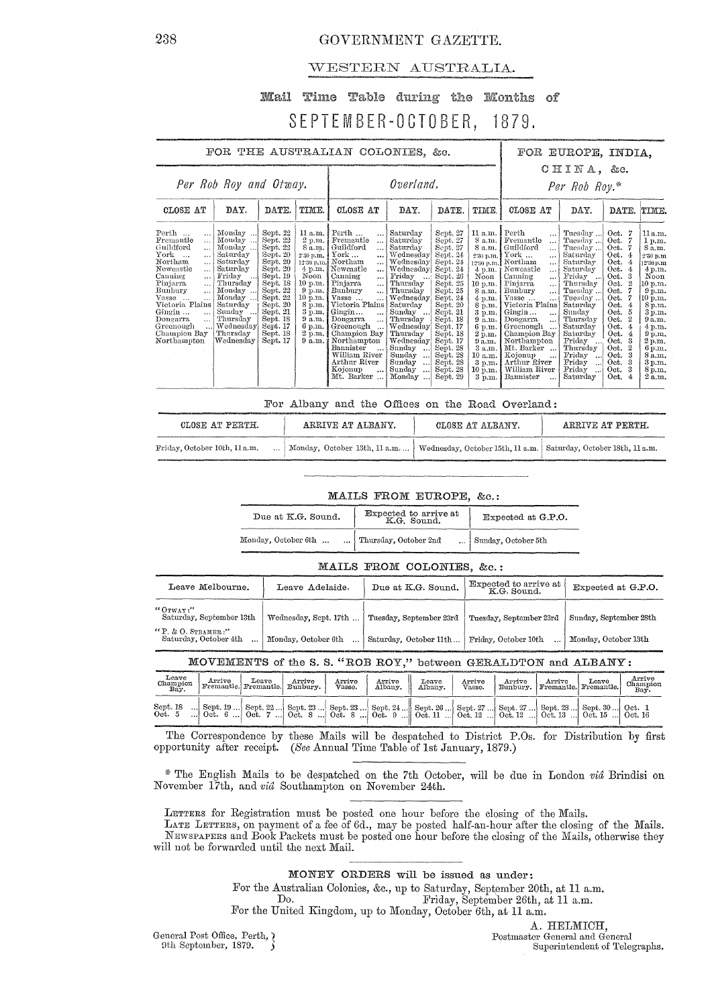# GOVERNMENT GAZETTE.

# WESTERN AUSTRALIA.

#### Mail Time Table during the Months of **CEPTEMRER-OCTORER**  $1870$

|                                  | ULI ILIII ULII UUTULIII, IUIU. |                |
|----------------------------------|--------------------------------|----------------|
| FOR THE AUSTRALIAN COLONIES. &c. |                                | FOR EUROPE. IN |
|                                  |                                | $CHINA.$ &     |
| Per Rob Roy and Otway.           | Overland.                      | Per Rob Roy.*  |

| CLOSE AT                                                                                                                                                                                                                                                                                                                                                                   | CLOSE AT<br>DAY.<br>DATE.<br>TIME.                                                                                                                                               |                                                                                                                                                                                              | DAY.                                                                                                                                                            | DATE.                                                                                                                                                                                                                                                                                                                                                                                                                                                                                   | TIME.                                                                                                                                                                                                                                                                                                | CLOSE AT                                                                                                                                                                                                                                                 | DAY.                                                                                                                                                                                                        | DATE. TIME.                                                                                                                                                                                                                                                                                                                                                                                         |                                                                                                                                                                                                                                                                      |                                                                                                                                                                                              |                                                                                                                                                                                                                              |
|----------------------------------------------------------------------------------------------------------------------------------------------------------------------------------------------------------------------------------------------------------------------------------------------------------------------------------------------------------------------------|----------------------------------------------------------------------------------------------------------------------------------------------------------------------------------|----------------------------------------------------------------------------------------------------------------------------------------------------------------------------------------------|-----------------------------------------------------------------------------------------------------------------------------------------------------------------|-----------------------------------------------------------------------------------------------------------------------------------------------------------------------------------------------------------------------------------------------------------------------------------------------------------------------------------------------------------------------------------------------------------------------------------------------------------------------------------------|------------------------------------------------------------------------------------------------------------------------------------------------------------------------------------------------------------------------------------------------------------------------------------------------------|----------------------------------------------------------------------------------------------------------------------------------------------------------------------------------------------------------------------------------------------------------|-------------------------------------------------------------------------------------------------------------------------------------------------------------------------------------------------------------|-----------------------------------------------------------------------------------------------------------------------------------------------------------------------------------------------------------------------------------------------------------------------------------------------------------------------------------------------------------------------------------------------------|----------------------------------------------------------------------------------------------------------------------------------------------------------------------------------------------------------------------------------------------------------------------|----------------------------------------------------------------------------------------------------------------------------------------------------------------------------------------------|------------------------------------------------------------------------------------------------------------------------------------------------------------------------------------------------------------------------------|
| $\mathrm{Perth}$<br>$\cdots$<br>Fremantle<br>$\sim$ $\sim$<br>Guildford<br>$\ddotsc$<br>$\mathbb{Y}\mathrm{ork}$<br>$\ddot{\phantom{a}}$<br>Northam<br>$\ldots$<br>Newcastle<br>$\cdots$<br>Canning<br>$\ddotsc$<br>Pinjarra<br>$\cdots$<br>Bunbury<br>Vasse<br>$\ddotsc$<br>Victoria Plains<br>Gingin<br>$\cdots$<br>Dongarra<br>Greenough<br>Champion Bay<br>Northampton | Monday<br>Monday<br>Monday<br>Saturday<br>Saturday<br>Saturday<br>Friday<br>Thursday<br>Monday<br>Monday<br>Saturday<br>Sunday<br>Thursday<br>Wednesday<br>Thursday<br>Wednesday | Sept. 22<br>Sept. 22<br>Sept. 22<br>Sept. 20<br>Sept. 20<br>Sept. 20<br>Sept. 19<br>Sept. 18<br>Sept. 22<br>Sept. 22<br>Sept. 20<br>Sept. 21<br>Sept. 18<br>Sept. 17<br>Sept. 18<br>Sept. 17 | $2 \text{ p.m.}$ 1<br>8 a.m.<br>2.30 p.m.<br>Noon<br>10 p.m.<br>$9 \text{ p.m.}$<br>10 p.m.<br>8 p.m.  <br>3 p.m.<br>9 a.m.<br>6 p.m. 1<br>2 p.m. j<br>9 a.m. 1 | $11 a.m.$ [ Perth $\dots$<br>$\cdots$<br>Fremantle<br>$\cdots$<br>Guildford<br>$\ddotsc$<br>$\operatorname{York}$<br>$\ddotsc$<br>12.30 p.m. Northam<br>$\cdots$<br>$4 p.m.$ Newcastle<br>$\ddotsc$<br>Canning<br>'<br>Pinjarra<br>$\cdots$<br>Bunbury<br>$\cdots$<br>Vasse<br>Victoria Plains<br>Gingin<br>$\cdots$<br>Dongarra<br>$\cdots$<br>Greenough<br>Champion Bay<br>Northampton<br>Bannister<br>$\cdots$<br>William River<br>Arthur River<br>Kojonup<br>$\cdots$<br>Mt. Barker | Saturday<br>Saturday<br>Saturday<br>Wednesday<br>Wednesday<br>Wednesday<br>Friday<br>$\mathbf{1}$<br>Thursday<br>Thursday<br>Wednesday<br>Saturday<br>Sunday<br>Thursday<br>Wednesday<br>Thursday<br>Wednesday<br>Sunday<br>$\cdots$<br>Sunday<br>$\ldots$<br>Sunday<br>اءور<br>Sunday<br><br>Monday | Sept. 27<br>Sept. 27<br>Sept. 27<br>Sept. 24<br>Sept. 24<br>Sept. 24<br>Sept. 26<br>Sept. 25<br>Sept. 25<br>Sept. 24<br>Sept. 20<br>Sept. 21<br>Sept. 18<br>Sept. 17<br>Sept. 18<br>Sept. 17<br>Sept. 28<br>Sept. 28<br>Sept. 28<br>Sept. 28<br>Sept. 29 | $11 a.m.$ [ Perth<br>8 a.m.<br>8 a.m.<br>2.30 p.m.<br>Noon<br>$10$ p.m.<br>8 a.m.<br>$4$ p.m.<br>8 p.m.<br>3 p.m.<br>9a.m.<br>6 p.m.<br>2 p.m.<br>9a.m.<br>3 a.m.<br>10 a.m.<br>3 p.m.<br>10 p.m.<br>3 p.m. | 1<br>Fremantle<br>. 3<br>Guildford<br>. 1<br>York<br>$\cdots$<br>12.30 p.m.] Northam<br>. 1<br>4 p.m. ; Newcastle<br>$\cdots$<br>Canning<br><br>Piniarra<br>$\cdots$<br>Bunbury<br>!<br>Vasse<br>1<br>Victoria Plains<br>Gingin $\dots$<br>1<br>Dongarra<br>$\cdots$<br>Greenough<br>Champion Bay<br>Northampton<br>Mt. Barker<br>Kojonup<br>$\cdots$<br>Arthur River<br>William River<br>Bannister | Tuesday<br>Tuesday<br>Tuesday<br>Saturdav<br>Saturday<br>Saturday<br>Friday<br>Thursday<br>Tuesday<br>Tuesday<br>Saturday<br>Sunday<br>Thursdav<br>Saturday<br>Saturday<br>Friday<br>$\cdots$<br>Thursday<br>Friday<br>$\ddotsc$<br>Friday<br><br>Friday<br>Saturday | Oct. 7<br>Oct.<br>Oct.<br>Oct. $4$<br>Oct.<br>Oct.<br>-4<br>Oct. 3<br>Oct.<br>Oct.<br>Oct.<br>Oct.<br>Oct.<br>Oct.<br>Oct.<br>Oct.<br>3<br>Oct.<br>Oct.<br>Oct.<br>Oct.<br>Oct.<br>Oct.<br>4 | 11a.m.<br>1 p.m.<br>8a.m.<br>$2.30~\mathrm{n}$ .m<br>12'30 p.m<br>4 p.m.<br>Noon<br>10 p.m.<br>9 p.m.<br>10 p.m.<br>8р.ш.<br>3 p.m.<br>9 a.m.<br>4 p.m.<br>9 p.m.<br>2 p.m.<br>6 p.m.<br>8 a.m.<br>3 p.m.<br>8 p.m.<br>2a.m. |

For Albany and the Offices on the Road Overland:

| CLOSE AT PERTH.               | ARRIVE AT ALBANY.                                                                                   | CLOSE AT ALBANY. | ARRIVE AT PERTH. |
|-------------------------------|-----------------------------------------------------------------------------------------------------|------------------|------------------|
| Friday, October 10th, 11 a.m. | Monday, October 13th, 11 a.m.    Wednesday, October 15th, 11 a.m.   Saturday, October 18th, 11 a.m. |                  |                  |

|  |                                                                                                                                              | فالتبار فتباد والمتوافقات والمتوافق والمراجع والمسترين ومسترداتهم | ------ |  |
|--|----------------------------------------------------------------------------------------------------------------------------------------------|-------------------------------------------------------------------|--------|--|
|  |                                                                                                                                              |                                                                   |        |  |
|  |                                                                                                                                              |                                                                   |        |  |
|  |                                                                                                                                              |                                                                   |        |  |
|  |                                                                                                                                              |                                                                   |        |  |
|  | .<br>National management and an experimental contract of the contract of the contract of the contract of the contract of the contract of the |                                                                   |        |  |
|  |                                                                                                                                              |                                                                   |        |  |
|  |                                                                                                                                              |                                                                   |        |  |
|  |                                                                                                                                              |                                                                   |        |  |
|  |                                                                                                                                              |                                                                   |        |  |
|  |                                                                                                                                              |                                                                   |        |  |
|  | MAILS FROM EUROPE, &c.:                                                                                                                      |                                                                   |        |  |
|  |                                                                                                                                              |                                                                   |        |  |
|  |                                                                                                                                              |                                                                   |        |  |
|  |                                                                                                                                              |                                                                   |        |  |

| Due at K.G. Sound.  | Expected to arrive at<br>K.G. Sound. | Expected at G.P.O.  |  |  |
|---------------------|--------------------------------------|---------------------|--|--|
| Monday, October 6th | Thursday, October 2nd                | Sunday, October 5th |  |  |

#### MAILS FROM COLONIES, &c.:

| Leave Melbourne.                                | Leave Adelaide.       | Due at K.G. Sound.      | Expected to arrive at<br>K.G. Sound. | Expected at G.P.O.     |
|-------------------------------------------------|-----------------------|-------------------------|--------------------------------------|------------------------|
| "Ceway?"<br>Saturday, September 13th            | Wednesday, Sept. 17th | Tuesday, September 23rd | Tuesday, September 23rd              | Sunday, September 28th |
| " $P \& O.$ STEAMER :"<br>Saturday, October 4th | Monday, October 6th   | Saturday, October 11th  | Friday, October 10th                 | Monday, October 13th   |

# MOVEMENTS of the S. S. "ROB ROY," between GERALDTON and ALBANY:

| Leave<br>Champion<br>Bay. |  | Arrive Leave Arrive Fremantle. Fremantle. | Arrive<br>Vasse. | Arrive<br>Albany. | Leave<br>Albany.                                                                                                                                                         | Arrive<br>Vasse. | Arrive Arrive Leave<br>Bunbury, Fremantle. Fremantle. |  | Arrive<br>Champion |
|---------------------------|--|-------------------------------------------|------------------|-------------------|--------------------------------------------------------------------------------------------------------------------------------------------------------------------------|------------------|-------------------------------------------------------|--|--------------------|
|                           |  |                                           |                  |                   |                                                                                                                                                                          |                  |                                                       |  | Bav.               |
| Sept. 18<br>Oct. 5        |  |                                           |                  |                   | Sept. 19  Sept. 22  Sept. 23  Sept. 23  Sept. 24  Sept. 26  Sept. 27  Sept. 27  Sept. 27  Sept. 29  Sept. 28  Sept. 30  Oct. 1<br>Oct. 6  Oct. 7  Oct. 8  Oct. 8  Oct. 9 |                  |                                                       |  |                    |

The Correspondence by these Mails will be despatched to District P.Os. for Distribution by first opportunity after receipt. (See Annual Time Table of 1st January, 1879.)

\* The English Mails to be despatched on the 7th October, will be due in London vid Brindisi on November 17th, and vid Southampton on November 24th.

LETTERS for Registration must be posted one hour before the closing of the Mails.

LATE LETTERS, on payment of a fee of 6d., may be posted half-an-hour after the closing of the Mails. NEWSPAPERS and Book Packets must be posted one hour before the closing of the Mails, otherwise they will not be forwarded until the next Mail.

MONEY ORDERS will be issued as under:

For the Australian Colonies, &c., up to Saturday, September 20th, at 11 a.m.

 $Do.$ Friday, September 26th, at 11 a.m.

For the United Kingdom, up to Monday, October 6th, at 11 a.m.

General Post Office, Perth, ? 9th September, 1879.

A. HELMICH, Postmaster General and General Superintendent of Telegraphs.

INDIA, &c.

238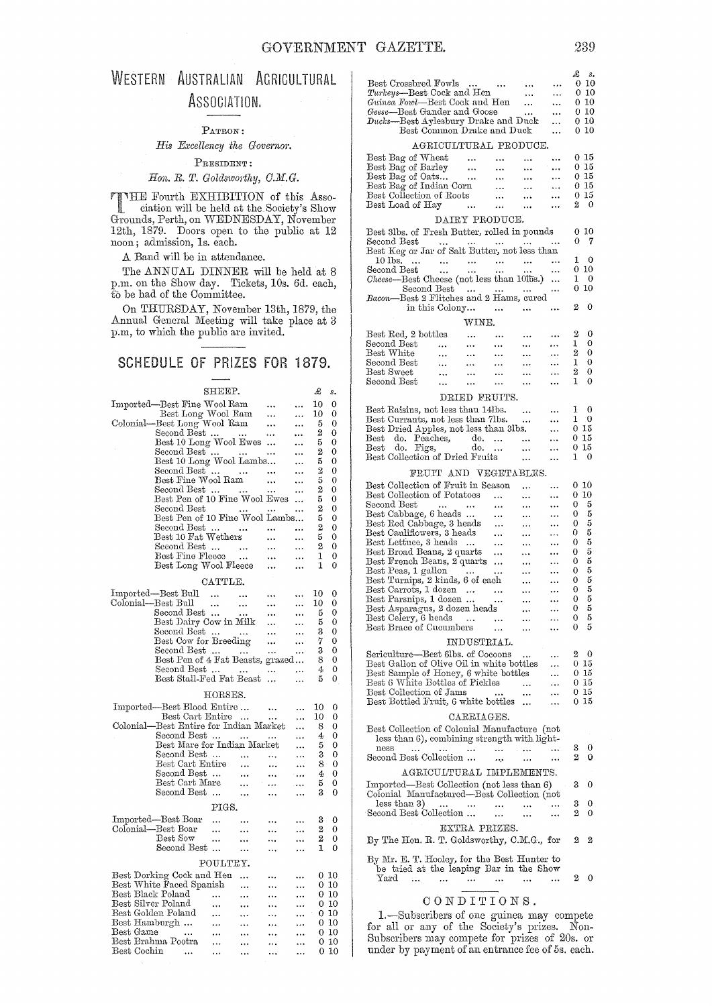# WESTERN AUSTRALIAN AGRICULTURAL ASSOCIATION.

#### PATRON:

 $His$  *Excellency the Governor.* 

# PRESIDENT:

## $H$ on. R. T. Goldsworthy, C.M.G.

THE Fourth EXHIBITION of this Asso-<br>
ciation will be held at the Society's Show<br>
Current Borth an WEDNESDAY Networker Grounds, Perth, on WEDNESDAY, November 12th, 1879. Doors open to the public at 12 noon; admission, Is. each.

A Band will be in attendance.

The ANNUAL DINNER will be held at 8 p.m. on the Show day. Tickets, 10s. 6d. each, to be had of the Committee.

On THURSDAY, November 13th, 1879, the Annual General Meeting will take place at 3 p.m, to which the public are invited.

# SCHEDULE OF PRIZES FOR 1879.

|                    |                                                                                 | SHEEP.               |               |              |            | £              | s.       |
|--------------------|---------------------------------------------------------------------------------|----------------------|---------------|--------------|------------|----------------|----------|
|                    | Imported—Best Fine Wool Ram                                                     |                      |               |              | $\ddotsc$  | 10             | 0        |
|                    |                                                                                 |                      |               |              |            | 10             | 0        |
| Colonial–          | Best Long Wool Ram<br>-Best Long Wool Ram                                       |                      |               |              |            | 5              | 0        |
|                    | Second Best                                                                     |                      |               | $\cdots$     | $\cdots$   | 2              | 0        |
|                    | Best 10 Long Wool Ewes                                                          |                      |               | $\cdots$     | $\cdots$   | 5              | 0        |
|                    |                                                                                 |                      |               |              |            | 2              | 0        |
|                    | Second Best"<br>Best 10 Long Wool Lambs                                         |                      |               |              |            | 5              | 0        |
|                    | Second Best                                                                     |                      |               | $\cdots$     | $\cdots$   | $\overline{2}$ | 0        |
|                    | Best Fine Wool Ram                                                              |                      |               |              | $\ddotsc$  | 5              | 0        |
|                    | Second Best                                                                     |                      |               | .            | $\cdots$   | 2              | 0        |
|                    | Best Pen of 10 Fine Wool Ewes                                                   |                      |               |              | $\ddotsc$  | 5              | 0        |
|                    | Second Best<br>Second Best<br>Best Pen of 10 Fine Wool Lambs                    |                      |               |              |            | $\mathbf{z}$   | 0        |
|                    |                                                                                 |                      |               |              |            | 5              | 0        |
|                    | Second Best $\,\dots\quad\,\dots$                                               |                      |               |              |            | 2              | 0        |
|                    | $\text{Best 10} \; \text{Fat Wethers}$                                          |                      |               |              |            | 5              | 0        |
|                    | $\begin{tabular}{ll} Second Best & \dots & \dots \\ Best Fine \\ \end{tabular}$ |                      |               |              |            | 2              | 0        |
|                    |                                                                                 |                      |               |              | $\ddotsc$  | 1              | 0        |
|                    | Best Long Wool Fleece                                                           |                      |               |              |            | 1              | 0        |
|                    |                                                                                 | CATTLE.              |               |              |            |                |          |
|                    | Imported—Best Bull                                                              |                      |               |              |            | 10             | 0        |
|                    | Colonial—Best Bull                                                              | $\cdots$             | $\sim$ $\sim$ | .            |            | 10             | 0        |
|                    | Second Best                                                                     | $\ldots$             | $\cdots$      | $\cdots$     |            |                | 0        |
|                    |                                                                                 |                      | $\ddotsc$     | $\cdots$     |            | 5              | $\theta$ |
|                    | Best Dairy Cow in Milk                                                          |                      |               | $\cdots$     |            | 5              |          |
|                    | Second Best                                                                     |                      |               | $\ddotsc$    |            | 3              | 0        |
|                    | Best Cow for Breeding                                                           |                      |               | $\ddotsc$    |            | 7              | 0        |
|                    | Second Best $\ldots$                                                            |                      |               | $\mathbf{r}$ | $\cdots$   | 3              | 0        |
|                    | Best Pen of 4 Fat Beasts, grazed                                                |                      |               |              |            | -8             | 0        |
|                    | Second Best                                                                     |                      | $\cdots$      | $\cdots$     | $\cdots$   | 4              | 0        |
|                    | Best Stall-Fed Fat Beast                                                        |                      |               |              | $\cdots$   | 5              | 0        |
|                    |                                                                                 | $_{\rm HORSES.}$     |               |              |            |                |          |
|                    | Imported—Best Blood Entire                                                      |                      |               |              |            | 10             | 0        |
|                    | Best Cart Entire                                                                |                      |               | $\ldots$     |            | 10             | 0        |
|                    | Colonial-Best Entire for Indian Market                                          |                      |               |              |            | 8              | 0        |
|                    | Second Best                                                                     |                      |               |              |            | 4              | 0        |
|                    | Best Mare for Indian Market                                                     |                      |               |              |            | 5              | 0        |
|                    | Second Best                                                                     |                      | $\sim$ .      | $\ldots$     | $\ldots$   | 3              | 0        |
|                    | Best Cart Entire                                                                |                      | $\ddotsc$     |              |            | 8              | 0        |
|                    | Second Best                                                                     |                      | $\ddotsc$     | $\ddotsc$    | $\dddotsc$ | 4              | O        |
|                    | Best Cart Mare                                                                  |                      | $\ddotsc$     | $\ldots$ .   | $\ldots$   | 5              | 0        |
|                    | Second Best                                                                     |                      |               |              | $\ddotsc$  | 3              | 0        |
|                    |                                                                                 |                      |               |              |            |                |          |
|                    |                                                                                 | PIGS.                |               |              |            |                |          |
|                    | Imported—Best Boar                                                              | .                    |               |              |            | 3              | 0        |
|                    | Colonial—Best Boar                                                              | .                    | $\ddotsc$     |              |            | $\bf{2}$       | 0        |
|                    | Best Sow                                                                        | $\ddotsc$            | $\cdots$      |              |            | 2              | 0        |
|                    | Second Best                                                                     |                      |               |              |            | 1              | 0        |
|                    |                                                                                 | POULTEY.             |               |              |            |                |          |
|                    | Best Dorking Cock and Hen                                                       |                      | $\ddotsc$     |              |            |                | 0 10     |
|                    | Best White Faced Spanish                                                        |                      | $\ddotsc$     |              |            |                | 0 10     |
| Best Black Poland  |                                                                                 |                      |               |              | .          | 010            |          |
| Best Silver Poland |                                                                                 | $\cdots$             |               | $\cdots$     |            | 010            |          |
|                    | Best Golden Poland                                                              | $\cdots$             |               |              |            | 010            |          |
|                    | Best Hamburgh                                                                   | $\cdots$             |               |              |            | 010            |          |
| Best Game          | $\sim$ 100 $\mu$ 100 $\mu$                                                      |                      | $\cdots$      |              | .          | 010            |          |
|                    | Best Brahma Pootra                                                              | $\ldots$<br>$\cdots$ | $\ddotsc$     |              |            |                | 010      |
| Best Cochin        | $\cdots$                                                                        | $\cdots$             |               |              |            |                | 010      |
|                    |                                                                                 |                      |               |              |            |                |          |

| Best Crossbred Fowls<br>$\cdots$<br>Turkeys—Best Cock and Hen<br>Guinea Fowl—Best Cock and Hen<br>Geese—Best Gander and Goose<br>Ducks-Best Aylesbury Drake and Duck<br>Best Common Drake and Duck<br>AGRICULTURAL PRODUCE.<br>Best Bag of Wheat<br>$\cdots$<br>$\sim$<br>Best Bag of Barley<br>$\ddotsc$<br>$\ddotsc$<br>Best Bag of Oats<br>$\cdots$<br><br>Best Bag of Indian Corn<br>$\ddotsc$<br>Best Collection of Roots<br>$\ddotsc$<br>Best Load of Hay<br><br> | <br><br>$\ddotsc$<br>$\ddotsc$<br>$\ddotsc$<br>$\cdots$ | £<br>$s_{\bullet}$<br>010<br><br>$0\,10$<br><br>0 10<br>.<br>$0\,10$<br><br>010<br>.<br>$0\,10$<br>.<br>0 15<br><br>0 15<br><br>0 15<br><br>0 15<br><br>$0\,15$<br>.<br>2<br>- 0<br> |
|-------------------------------------------------------------------------------------------------------------------------------------------------------------------------------------------------------------------------------------------------------------------------------------------------------------------------------------------------------------------------------------------------------------------------------------------------------------------------|---------------------------------------------------------|--------------------------------------------------------------------------------------------------------------------------------------------------------------------------------------|
| DAIRY PRODUCE.<br>Best 3lbs. of Fresh Butter, rolled in pounds                                                                                                                                                                                                                                                                                                                                                                                                          |                                                         | $0\,$ $10$                                                                                                                                                                           |
| Second Best<br>Best Keg or Jar of Salt Butter, not less than                                                                                                                                                                                                                                                                                                                                                                                                            |                                                         | 7<br>0<br>                                                                                                                                                                           |
| 10 lbs.<br>econd Best                                                                                                                                                                                                                                                                                                                                                                                                                                                   |                                                         | 1<br>$\mathbf{0}$<br>                                                                                                                                                                |
| $\rm Second \ Best$<br>Cheese-Best Cheese (not less than 10lbs.)                                                                                                                                                                                                                                                                                                                                                                                                        |                                                         | 0 10<br>$\ddotsc$<br>1<br>- 0<br>                                                                                                                                                    |
| Second Best                                                                                                                                                                                                                                                                                                                                                                                                                                                             |                                                         | -10<br>0<br>                                                                                                                                                                         |
| Bacon-Best 2 Flitches and 2 Hams, cured<br>in this Colony<br>$\cdots$                                                                                                                                                                                                                                                                                                                                                                                                   | $\cdots$                                                | 2<br>0<br>                                                                                                                                                                           |
| WINE.                                                                                                                                                                                                                                                                                                                                                                                                                                                                   |                                                         |                                                                                                                                                                                      |
| Best Red, 2 bottles<br>$\ddotsc$<br>$\cdots$                                                                                                                                                                                                                                                                                                                                                                                                                            |                                                         | 2<br>0<br>                                                                                                                                                                           |
| Second Best<br>$\cdots$<br>.<br>.<br>Best White<br>                                                                                                                                                                                                                                                                                                                                                                                                                     |                                                         | 0<br>1<br><br>2<br>0                                                                                                                                                                 |
| $\cdots$<br><br>Second Best<br>$\ddotsc$<br>$\cdots$<br>$\ddotsc$                                                                                                                                                                                                                                                                                                                                                                                                       | <br>.                                                   | <br>1<br>0<br>.                                                                                                                                                                      |
| Best Sweet<br><br><br>$\cdots$                                                                                                                                                                                                                                                                                                                                                                                                                                          |                                                         | 2<br>0<br>.                                                                                                                                                                          |
| Second Best<br><br><br>                                                                                                                                                                                                                                                                                                                                                                                                                                                 | .                                                       | 0<br>1<br>                                                                                                                                                                           |
| DRIED FRUITS.                                                                                                                                                                                                                                                                                                                                                                                                                                                           |                                                         |                                                                                                                                                                                      |
| Best Raisins, not less than 14lbs.                                                                                                                                                                                                                                                                                                                                                                                                                                      | $\ddotsc$                                               | 0<br>1<br>                                                                                                                                                                           |
| Best Currants, not less than 7lbs.<br>Best Dried Apples, not less than 3lbs.                                                                                                                                                                                                                                                                                                                                                                                            | $\ddotsc$                                               | 1<br>- 0<br><br>0 15<br>                                                                                                                                                             |
| Best do. Peaches, do.                                                                                                                                                                                                                                                                                                                                                                                                                                                   | $\ddotsc$                                               | 0 15<br>.                                                                                                                                                                            |
| do.<br>Best do. Figs,                                                                                                                                                                                                                                                                                                                                                                                                                                                   | .                                                       | 015<br>.                                                                                                                                                                             |
| Best Collection of Dried Fruits                                                                                                                                                                                                                                                                                                                                                                                                                                         | .                                                       | 0<br>1<br>                                                                                                                                                                           |
| FRUIT AND VEGETABLES.                                                                                                                                                                                                                                                                                                                                                                                                                                                   |                                                         |                                                                                                                                                                                      |
| Best Collection of Fruit in Season                                                                                                                                                                                                                                                                                                                                                                                                                                      |                                                         | $0\,10$<br>                                                                                                                                                                          |
| Best Collection of Potatoes<br>Second Best                                                                                                                                                                                                                                                                                                                                                                                                                              | $\ddotsc$                                               | $0\,10$<br><br>5<br>0                                                                                                                                                                |
| <br>$\cdots$<br>$\cdots$<br>Best Cabbage, 6 heads<br>.                                                                                                                                                                                                                                                                                                                                                                                                                  | .<br>                                                   | <br>5<br>0<br>                                                                                                                                                                       |
| Best Red Cabbage, 3 heads<br>                                                                                                                                                                                                                                                                                                                                                                                                                                           |                                                         | 5<br>0<br>$\ddotsc$                                                                                                                                                                  |
| Best Cauliflowers, 3 heads<br>                                                                                                                                                                                                                                                                                                                                                                                                                                          |                                                         | 5<br>0<br>                                                                                                                                                                           |
| Best Lettuce, 3 heads<br><br>Best Broad Beans, 2 quarts<br>.                                                                                                                                                                                                                                                                                                                                                                                                            | <br>.                                                   | 5<br>0<br><br>5<br>0<br>                                                                                                                                                             |
| Best French Beans, 2 quarts<br>$\cdots$                                                                                                                                                                                                                                                                                                                                                                                                                                 | $\cdots$                                                | 5<br>0<br>                                                                                                                                                                           |
| Best Peas, 1 gallon<br>$\sim 100$ km s $^{-1}$<br>                                                                                                                                                                                                                                                                                                                                                                                                                      |                                                         | 5<br>0<br>$\ldots$                                                                                                                                                                   |
| Best Turnips, 2 kinds, 6 of each                                                                                                                                                                                                                                                                                                                                                                                                                                        |                                                         | 5<br>0<br>$\ddotsc$                                                                                                                                                                  |
| Best Carrots, 1 dozen<br>$\cdots$<br>Best Parsnips, 1 dozen<br>$\cdots$<br>$\sim 100$ km s $^{-1}$                                                                                                                                                                                                                                                                                                                                                                      | <br>$\cdots$                                            | 5<br>0<br><br>5<br>0<br>$\ddotsc$                                                                                                                                                    |
| Best Asparagus, 2 dozen heads                                                                                                                                                                                                                                                                                                                                                                                                                                           |                                                         | 0<br>5                                                                                                                                                                               |
| Best Celery, 6 heads<br>                                                                                                                                                                                                                                                                                                                                                                                                                                                |                                                         | 5<br>0                                                                                                                                                                               |
| Best Brace of Cucumbers<br>.                                                                                                                                                                                                                                                                                                                                                                                                                                            |                                                         | 5<br>0                                                                                                                                                                               |
| INDUSTRIAL.                                                                                                                                                                                                                                                                                                                                                                                                                                                             |                                                         |                                                                                                                                                                                      |
| Sericulture-Best 6lbs. of Cocoons                                                                                                                                                                                                                                                                                                                                                                                                                                       |                                                         | 2<br>0                                                                                                                                                                               |
| Best Gallon of Olive Oil in white bottles<br>Best Sample of Honey, 6 white bottles                                                                                                                                                                                                                                                                                                                                                                                      |                                                         | 15<br>0.<br>0 15                                                                                                                                                                     |
| Best 6 White Bottles of Pickles                                                                                                                                                                                                                                                                                                                                                                                                                                         |                                                         | 0 15<br>.                                                                                                                                                                            |
| Best Collection of Jams<br>.                                                                                                                                                                                                                                                                                                                                                                                                                                            |                                                         | 0 15                                                                                                                                                                                 |
| Best Bottled Fruit, 6 white bottles                                                                                                                                                                                                                                                                                                                                                                                                                                     |                                                         | 0 15                                                                                                                                                                                 |
| CARRIAGES.                                                                                                                                                                                                                                                                                                                                                                                                                                                              |                                                         |                                                                                                                                                                                      |
| Best Collection of Colonial Manufacture (not                                                                                                                                                                                                                                                                                                                                                                                                                            |                                                         |                                                                                                                                                                                      |
| less than 6), combining strength with light-<br>$_{\rm mess}$                                                                                                                                                                                                                                                                                                                                                                                                           |                                                         | 0<br>3                                                                                                                                                                               |
| $\ddotsc$<br><br>$\cdots$<br>Second Best Collection<br>                                                                                                                                                                                                                                                                                                                                                                                                                 | 1.1444<br>$\ddotsc$                                     | 2<br>0<br>.                                                                                                                                                                          |
| AGRICULTURAL IMPLEMENTS.                                                                                                                                                                                                                                                                                                                                                                                                                                                |                                                         |                                                                                                                                                                                      |
| Imported—Best Collection (not less than 6)                                                                                                                                                                                                                                                                                                                                                                                                                              |                                                         | 3<br>0                                                                                                                                                                               |
| Colonial Manufactured—Best Collection (not                                                                                                                                                                                                                                                                                                                                                                                                                              |                                                         |                                                                                                                                                                                      |
| less than 3)<br>                                                                                                                                                                                                                                                                                                                                                                                                                                                        |                                                         | 3<br>0                                                                                                                                                                               |
| Second Best Collection<br>.                                                                                                                                                                                                                                                                                                                                                                                                                                             |                                                         | 0<br>2<br>                                                                                                                                                                           |
| EXTRA PRIZES.                                                                                                                                                                                                                                                                                                                                                                                                                                                           |                                                         |                                                                                                                                                                                      |
| By The Hon. R. T. Goldsworthy, C.M.G., for                                                                                                                                                                                                                                                                                                                                                                                                                              |                                                         | 2<br>2                                                                                                                                                                               |
|                                                                                                                                                                                                                                                                                                                                                                                                                                                                         |                                                         |                                                                                                                                                                                      |
| By Mr. E. T. Hooley, for the Best Hunter to<br>be tried at the leaping Bar in the Show                                                                                                                                                                                                                                                                                                                                                                                  |                                                         |                                                                                                                                                                                      |
| $_{\rm Xard}$<br>н.<br>$\ddotsc$<br>$\ldots$                                                                                                                                                                                                                                                                                                                                                                                                                            |                                                         | 0<br>2<br>.                                                                                                                                                                          |
|                                                                                                                                                                                                                                                                                                                                                                                                                                                                         |                                                         |                                                                                                                                                                                      |

# CONDITIONS.

I.-Subscribers of one guinea may compete for all or any of the Society's prizes. Non-Subscribers may compete for prizes of 20s. or under by payment of an entrance fee of 5s. each.